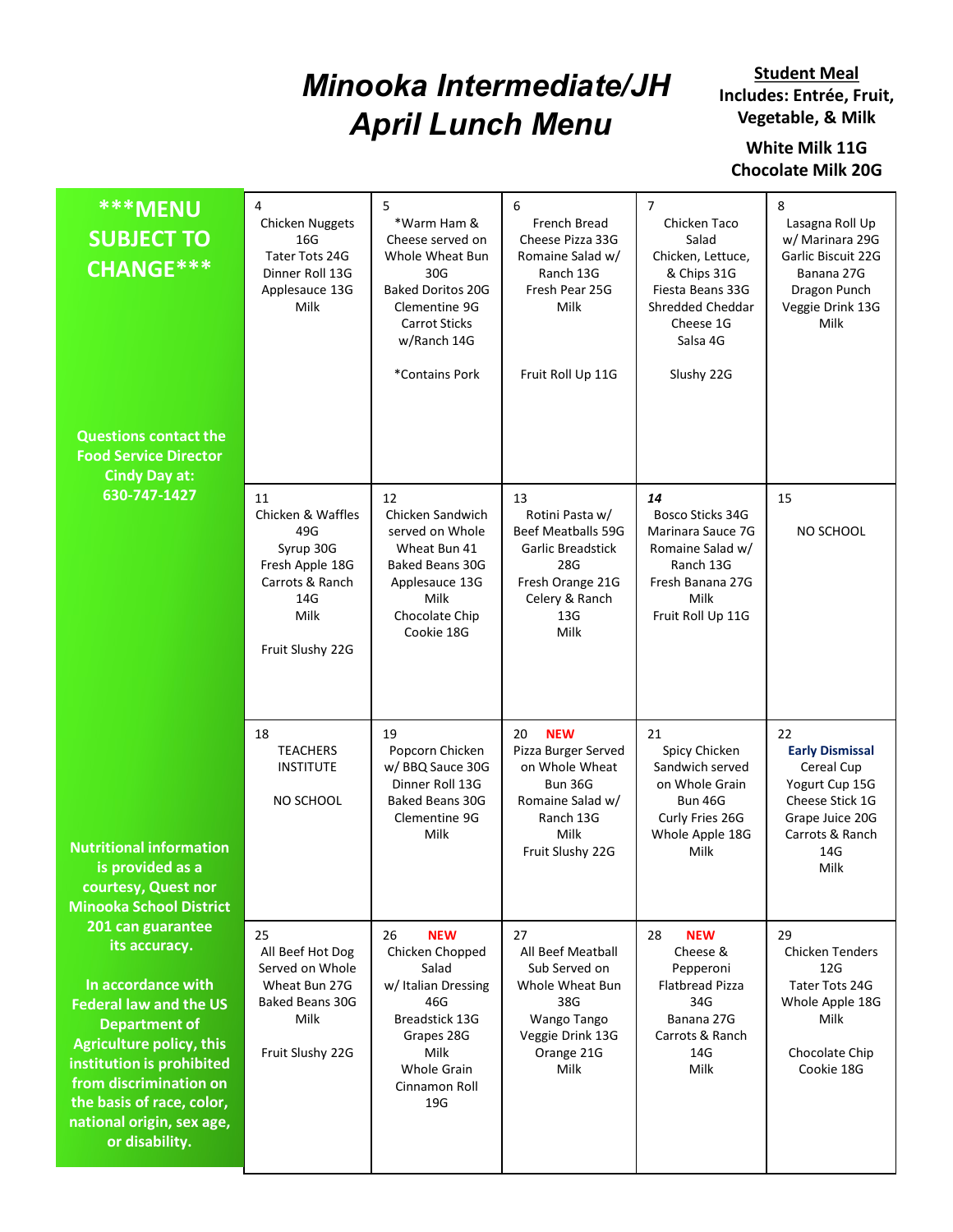## Minooka Intermediate/JH April Lunch Menu

**Student Meal** Includes: Entrée, Fruit, Vegetable, & Milk

White Milk 11G Chocolate Milk 20G

| $\overline{4}$<br>5<br>6<br>$\overline{7}$<br>8<br><b>***MENU</b><br><b>Chicken Nuggets</b><br>*Warm Ham &<br>French Bread<br>Chicken Taco<br>Lasagna Roll Up<br><b>SUBJECT TO</b><br>16G<br>Cheese served on<br>Cheese Pizza 33G<br>Salad<br>w/ Marinara 29G<br>Tater Tots 24G<br>Whole Wheat Bun<br>Romaine Salad w/<br>Chicken, Lettuce,<br>Garlic Biscuit 22G<br>CHANGE***<br>Dinner Roll 13G<br>30G<br>Ranch 13G<br>& Chips 31G<br>Banana 27G<br><b>Baked Doritos 20G</b><br>Fresh Pear 25G<br>Fiesta Beans 33G<br>Dragon Punch<br>Applesauce 13G<br>Milk<br>Milk<br>Clementine 9G<br>Shredded Cheddar<br>Veggie Drink 13G<br><b>Carrot Sticks</b><br>Cheese 1G<br>Milk<br>w/Ranch 14G<br>Salsa 4G<br>*Contains Pork<br>Fruit Roll Up 11G<br>Slushy 22G<br><b>Questions contact the</b><br><b>Food Service Director</b><br><b>Cindy Day at:</b><br>630-747-1427<br>11<br>12<br>13<br>14<br>15<br>Chicken & Waffles<br>Chicken Sandwich<br>Rotini Pasta w/<br>Bosco Sticks 34G<br>49G<br>served on Whole<br>Beef Meatballs 59G<br>Marinara Sauce 7G<br>NO SCHOOL<br>Syrup 30G<br>Wheat Bun 41<br><b>Garlic Breadstick</b><br>Romaine Salad w/<br>Fresh Apple 18G<br>28G<br>Ranch 13G<br><b>Baked Beans 30G</b><br>Carrots & Ranch<br>Fresh Orange 21G<br>Fresh Banana 27G<br>Applesauce 13G<br>Milk<br>Celery & Ranch<br>Milk<br>14G<br>Milk<br>Chocolate Chip<br>13G<br>Fruit Roll Up 11G<br>Milk<br>Cookie 18G<br>Fruit Slushy 22G<br>20 <b>NEW</b><br>19<br>21<br>22<br>18<br><b>TEACHERS</b><br>Pizza Burger Served<br>Popcorn Chicken<br>Spicy Chicken<br><b>Early Dismissal</b><br>w/ BBQ Sauce 30G<br>on Whole Wheat<br><b>INSTITUTE</b><br>Sandwich served<br>Cereal Cup<br>Dinner Roll 13G<br>Bun 36G<br>on Whole Grain<br>Yogurt Cup 15G<br>NO SCHOOL<br><b>Baked Beans 30G</b><br>Romaine Salad w/<br>Cheese Stick 1G<br>Bun 46G<br>Clementine 9G<br>Ranch 13G<br>Curly Fries 26G<br>Grape Juice 20G<br>Milk<br>Carrots & Ranch<br>Milk<br>Whole Apple 18G<br>Fruit Slushy 22G<br>Milk<br>14G<br>is provided as a<br>Milk<br>courtesy, Quest nor<br><b>Minooka School District</b><br>201 can guarantee<br>25<br>26<br>27<br>28<br><b>NEW</b><br><b>NEW</b><br>29<br>its accuracy.<br>Chicken Chopped<br>All Beef Hot Dog<br>All Beef Meatball<br>Cheese &<br>Chicken Tenders<br>Served on Whole<br>Salad<br>Sub Served on<br>12G<br>Pepperoni<br>In accordance with<br>Wheat Bun 27G<br>w/ Italian Dressing<br>Whole Wheat Bun<br>Tater Tots 24G<br>Flatbread Pizza<br>Baked Beans 30G<br>46G<br>38G<br>34G<br>Whole Apple 18G<br><b>Federal law and the US</b><br>Breadstick 13G<br>Banana 27G<br>Milk<br>Wango Tango<br>Milk<br><b>Department of</b><br>Grapes 28G<br>Veggie Drink 13G<br>Carrots & Ranch |                                                                                                                                                                    |      |  |  |
|-----------------------------------------------------------------------------------------------------------------------------------------------------------------------------------------------------------------------------------------------------------------------------------------------------------------------------------------------------------------------------------------------------------------------------------------------------------------------------------------------------------------------------------------------------------------------------------------------------------------------------------------------------------------------------------------------------------------------------------------------------------------------------------------------------------------------------------------------------------------------------------------------------------------------------------------------------------------------------------------------------------------------------------------------------------------------------------------------------------------------------------------------------------------------------------------------------------------------------------------------------------------------------------------------------------------------------------------------------------------------------------------------------------------------------------------------------------------------------------------------------------------------------------------------------------------------------------------------------------------------------------------------------------------------------------------------------------------------------------------------------------------------------------------------------------------------------------------------------------------------------------------------------------------------------------------------------------------------------------------------------------------------------------------------------------------------------------------------------------------------------------------------------------------------------------------------------------------------------------------------------------------------------------------------------------------------------------------------------------------------------------------------------------------------------------------------------------------------------------------------------------------------------------------------------------------------------------------------------------------------------------------------------------------------------------------------------------------------------|--------------------------------------------------------------------------------------------------------------------------------------------------------------------|------|--|--|
| <b>Nutritional information</b>                                                                                                                                                                                                                                                                                                                                                                                                                                                                                                                                                                                                                                                                                                                                                                                                                                                                                                                                                                                                                                                                                                                                                                                                                                                                                                                                                                                                                                                                                                                                                                                                                                                                                                                                                                                                                                                                                                                                                                                                                                                                                                                                                                                                                                                                                                                                                                                                                                                                                                                                                                                                                                                                                              |                                                                                                                                                                    |      |  |  |
|                                                                                                                                                                                                                                                                                                                                                                                                                                                                                                                                                                                                                                                                                                                                                                                                                                                                                                                                                                                                                                                                                                                                                                                                                                                                                                                                                                                                                                                                                                                                                                                                                                                                                                                                                                                                                                                                                                                                                                                                                                                                                                                                                                                                                                                                                                                                                                                                                                                                                                                                                                                                                                                                                                                             |                                                                                                                                                                    |      |  |  |
|                                                                                                                                                                                                                                                                                                                                                                                                                                                                                                                                                                                                                                                                                                                                                                                                                                                                                                                                                                                                                                                                                                                                                                                                                                                                                                                                                                                                                                                                                                                                                                                                                                                                                                                                                                                                                                                                                                                                                                                                                                                                                                                                                                                                                                                                                                                                                                                                                                                                                                                                                                                                                                                                                                                             |                                                                                                                                                                    |      |  |  |
|                                                                                                                                                                                                                                                                                                                                                                                                                                                                                                                                                                                                                                                                                                                                                                                                                                                                                                                                                                                                                                                                                                                                                                                                                                                                                                                                                                                                                                                                                                                                                                                                                                                                                                                                                                                                                                                                                                                                                                                                                                                                                                                                                                                                                                                                                                                                                                                                                                                                                                                                                                                                                                                                                                                             | <b>Agriculture policy, this</b><br>institution is prohibited<br>from discrimination on<br>the basis of race, color,<br>national origin, sex age,<br>or disability. |      |  |  |
| Fruit Slushy 22G<br>Orange 21G<br>Chocolate Chip<br>14G<br>Whole Grain<br>Milk<br>Milk<br>Cookie 18G<br>Cinnamon Roll<br>19G                                                                                                                                                                                                                                                                                                                                                                                                                                                                                                                                                                                                                                                                                                                                                                                                                                                                                                                                                                                                                                                                                                                                                                                                                                                                                                                                                                                                                                                                                                                                                                                                                                                                                                                                                                                                                                                                                                                                                                                                                                                                                                                                                                                                                                                                                                                                                                                                                                                                                                                                                                                                |                                                                                                                                                                    | Milk |  |  |